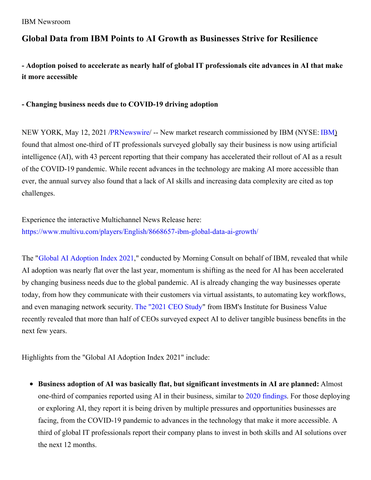## **Global Data from IBM Points to AI Growth as Businesses Strive for Resilience**

- Adoption poised to accelerate as nearly half of global IT professionals cite advances in AI that make **it more accessible**

## **- Changing business needs due to COVID-19 driving adoption**

NEW YORK, May 12, 2021 [/PRNewswire](http://www.prnewswire.com/)/ -- New market research commissioned by IBM (NYSE: [IBM](https://c212.net/c/link/?t=0&l=en&o=3154259-1&h=3221333496&u=http%3A%2F%2Fwww.ibm.com%2Finvestor&a=IBM)) found that almost one-third of IT professionals surveyed globally say their business is now using artificial intelligence (AI), with 43 percent reporting that their company has accelerated their rollout of AI as a result of the COVID-19 pandemic. While recent advances in the technology are making AI more accessible than ever, the annual survey also found that a lack of AI skills and increasing data complexity are cited as top challenges.

Experience the interactive Multichannel News Release here: [https://www.multivu.com/players/English/8668657-ibm-global-data-ai-growth/](https://c212.net/c/link/?t=0&l=en&o=3154259-1&h=1068670352&u=https%3A%2F%2Fwww.multivu.com%2Fplayers%2FEnglish%2F8668657-ibm-global-data-ai-growth%2F&a=https%3A%2F%2Fwww.multivu.com%2Fplayers%2FEnglish%2F8668657-ibm-global-data-ai-growth%2F)

The "Global AI [Adoption](https://c212.net/c/link/?t=0&l=en&o=3154259-1&h=2930454230&u=https%3A%2F%2Fnewsroom.ibm.com%2Fimage%2FIBM%2527s%2BGlobal%2BAI%2BAdoption%2BIndex%2B2021_Executive-Summary.pdf&a=Global+AI+Adoption+Index+2021) Index 2021," conducted by Morning Consult on behalf of IBM, revealed that while AI adoption was nearly flat over the last year, momentum is shifting as the need for AI has been accelerated by changing business needs due to the global pandemic. AI is already changing the way businesses operate today, from how they communicate with their customers via virtual assistants, to automating key workflows, and even managing network security. The ["2021](https://c212.net/c/link/?t=0&l=en&o=3154259-1&h=3094287993&u=https%3A%2F%2Fwww.ibm.com%2Fdownloads%2Fcas%2FWVPWGPYE&a=The+%222021+CEO+Study) CEO Study" from IBM's Institute for Business Value recently revealed that more than half of CEOs surveyed expect AI to deliver tangible business benefits in the next few years.

Highlights from the "Global AI Adoption Index 2021" include:

**Business adoption of AI was basically flat, but significant investments in AI are planned:** Almost one-third of companies reported using AI in their business, similar to 2020 [findings](https://c212.net/c/link/?t=0&l=en&o=3154259-1&h=2301235396&u=http%3A%2F%2Ffilecache.mediaroom.com%2Fmr5mr_ibmnews%2F183710%2FRoadblock-to-Scale-exec-summary.pdf&a=2020+findings). For those deploying or exploring AI, they report it is being driven by multiple pressures and opportunities businesses are facing, from the COVID-19 pandemic to advances in the technology that make it more accessible. A third of global IT professionals report their company plans to invest in both skills and AI solutions over the next 12 months.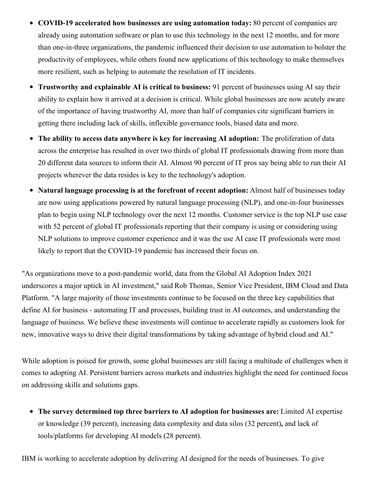- $\bullet$ **COVID-19 accelerated how businesses are using automation today:** 80 percent of companies are already using automation software or plan to use this technology in the next 12 months, and for more than one-in-three organizations, the pandemic influenced their decision to use automation to bolster the productivity of employees, while others found new applications of this technology to make themselves more resilient, such as helping to automate the resolution of IT incidents.
- $\bullet$ **Trustworthy and explainable AI is critical to business:** 91 percent of businesses using AI say their ability to explain how it arrived at a decision is critical. While global businesses are now acutely aware of the importance of having trustworthy AI, more than half of companies cite significant barriers in getting there including lack of skills, inflexible governance tools, biased data and more.
- **The ability to access data anywhere is key for increasing AI adoption:** The proliferation of data across the enterprise has resulted in over two thirds of global IT professionals drawing from more than 20 different data sources to inform their AI. Almost 90 percent of IT pros say being able to run their AI projects wherever the data resides is key to the technology's adoption.
- **Natural language processing is at the forefront of recent adoption:** Almost half of businesses today  $\bullet$ are now using applications powered by natural language processing (NLP), and one-in-four businesses plan to begin using NLP technology over the next 12 months. Customer service is the top NLP use case with 52 percent of global IT professionals reporting that their company is using or considering using NLP solutions to improve customer experience and it was the use AI case IT professionals were most likely to report that the COVID-19 pandemic has increased their focus on.

"As organizations move to a post-pandemic world, data from the Global AI Adoption Index 2021 underscores a major uptick in AI investment," said Rob Thomas, Senior Vice President, IBM Cloud and Data Platform. "A large majority of those investments continue to be focused on the three key capabilities that define AI for business - automating IT and processes, building trust in AI outcomes, and understanding the language of business. We believe these investments will continue to accelerate rapidly as customers look for new, innovative ways to drive their digital transformations by taking advantage of hybrid cloud and AI."

While adoption is poised for growth, some global businesses are still facing a multitude of challenges when it comes to adopting AI. Persistent barriers across markets and industries highlight the need for continued focus on addressing skills and solutions gaps.

**The survey determined top three barriers to AI adoption for businesses are:** Limited AI expertise or knowledge (39 percent), increasing data complexity and data silos (32 percent)**,** and lack of tools/platforms for developing AI models (28 percent).

IBM is working to accelerate adoption by delivering AI designed for the needs of businesses. To give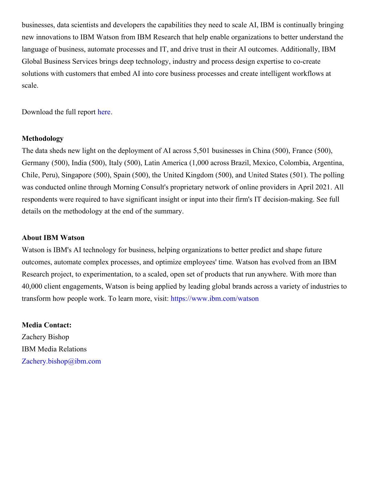businesses, data scientists and developers the capabilities they need to scale AI, IBM is continually bringing new innovations to IBM Watson from IBM Research that help enable organizations to better understand the language of business, automate processes and IT, and drive trust in their AI outcomes. Additionally, IBM Global Business Services brings deep technology, industry and process design expertise to co-create solutions with customers that embed AI into core business processes and create intelligent workflows at scale.

Download the full report [here](https://c212.net/c/link/?t=0&l=en&o=3154259-1&h=3940455918&u=https%3A%2F%2Fnewsroom.ibm.com%2Fimage%2FIBM%2527s%2BGlobal%2BAI%2BAdoption%2BIndex%2B2021_Executive-Summary.pdf&a=here).

## **Methodology**

The data sheds new light on the deployment of AI across 5,501 businesses in China (500), France (500), Germany (500), India (500), Italy (500), Latin America (1,000 across Brazil, Mexico, Colombia, Argentina, Chile, Peru), Singapore (500), Spain (500), the United Kingdom (500), and United States (501). The polling was conducted online through Morning Consult's proprietary network of online providers in April 2021. All respondents were required to have significant insight or input into their firm's IT decision-making. See full details on the methodology at the end of the summary.

## **About IBM Watson**

Watson is IBM's AI technology for business, helping organizations to better predict and shape future outcomes, automate complex processes, and optimize employees' time. Watson has evolved from an IBM Research project, to experimentation, to a scaled, open set of products that run anywhere. With more than 40,000 client engagements, Watson is being applied by leading global brands across a variety of industries to transform how people work. To learn more, visit: [https://www.ibm.com/watson](https://c212.net/c/link/?t=0&l=en&o=3154259-1&h=631237804&u=https%3A%2F%2Fwww.ibm.com%2Fwatson&a=https%3A%2F%2Fwww.ibm.com%2Fwatson)

**Media Contact:** Zachery Bishop IBM Media Relations [Zachery.bishop@ibm.com](mailto:Zachery.bishop@ibm.com)